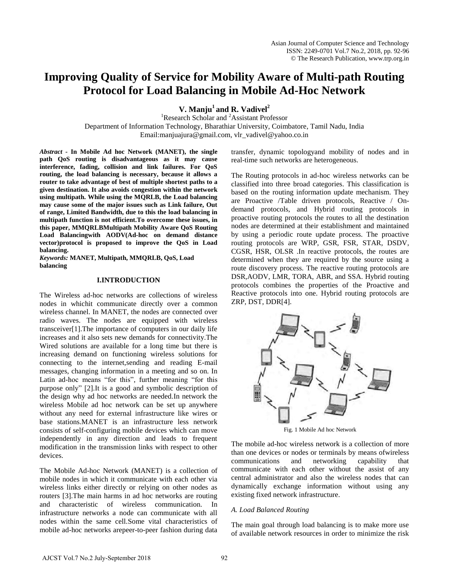# **Improving Quality of Service for Mobility Aware of Multi-path Routing Protocol for Load Balancing in Mobile Ad-Hoc Network**

**V. Manju<sup>1</sup>and R. Vadivel<sup>2</sup>**

<sup>1</sup>Research Scholar and <sup>2</sup>Assistant Professor Department of Information Technology, Bharathiar University, Coimbatore, Tamil Nadu, India Email:manjuajura@gmail.com, vlr\_vadivel@yahoo.co.in

*Abstract -* **In Mobile Ad hoc Network (MANET), the single path QoS routing is disadvantageous as it may cause interference, fading, collision and link failures. For QoS routing, the load balancing is necessary, because it allows a router to take advantage of best of multiple shortest paths to a given destination. It also avoids congestion within the network using multipath. While using the MQRLB, the Load balancing may cause some of the major issues such as Link failure, Out of range, Limited Bandwidth, due to this the load balancing in multipath function is not efficient.To overcome these issues, in this paper, MMQRLBMultipath Mobility Aware QoS Routing Load Balancingwith AODV(Ad-hoc on demand distance vector)protocol is proposed to improve the QoS in Load balancing.** 

*Keywords:* **MANET, Multipath, MMQRLB, QoS, Load balancing** 

# **I.INTRODUCTION**

The Wireless ad-hoc networks are collections of wireless nodes in whichit communicate directly over a common wireless channel. In MANET, the nodes are connected over radio waves. The nodes are equipped with wireless transceiver[1].The importance of computers in our daily life increases and it also sets new demands for connectivity.The Wired solutions are available for a long time but there is increasing demand on functioning wireless solutions for connecting to the internet,sending and reading E-mail messages, changing information in a meeting and so on. In Latin ad-hoc means "for this", further meaning "for this purpose only" [2].It is a good and symbolic description of the design why ad hoc networks are needed.In network the wireless Mobile ad hoc network can be set up anywhere without any need for external infrastructure like wires or base stations.MANET is an infrastructure less network consists of self-configuring mobile devices which can move independently in any direction and leads to frequent modification in the transmission links with respect to other devices.

The Mobile Ad-hoc Network (MANET) is a collection of mobile nodes in which it communicate with each other via wireless links either directly or relying on other nodes as routers [3].The main harms in ad hoc networks are routing and characteristic of wireless communication. In infrastructure networks a node can communicate with all nodes within the same cell.Some vital characteristics of mobile ad-hoc networks arepeer-to-peer fashion during data transfer, dynamic topologyand mobility of nodes and in real-time such networks are heterogeneous.

The Routing protocols in ad-hoc wireless networks can be classified into three broad categories. This classification is based on the routing information update mechanism. They are Proactive /Table driven protocols, Reactive / Ondemand protocols, and Hybrid routing protocols in proactive routing protocols the routes to all the destination nodes are determined at their establishment and maintained by using a periodic route update process. The proactive routing protocols are WRP, GSR, FSR, STAR, DSDV, CGSR, HSR, OLSR .In reactive protocols, the routes are determined when they are required by the source using a route discovery process. The reactive routing protocols are DSR,AODV, LMR, TORA, ABR, and SSA. Hybrid routing protocols combines the properties of the Proactive and Reactive protocols into one. Hybrid routing protocols are ZRP, DST, DDR[4].



Fig. 1 Mobile Ad hoc Network

The mobile ad-hoc wireless network is a collection of more than one devices or nodes or terminals by means ofwireless communications and networking capability that communicate with each other without the assist of any central administrator and also the wireless nodes that can dynamically exchange information without using any existing fixed network infrastructure.

# *A. Load Balanced Routing*

The main goal through load balancing is to make more use of available network resources in order to minimize the risk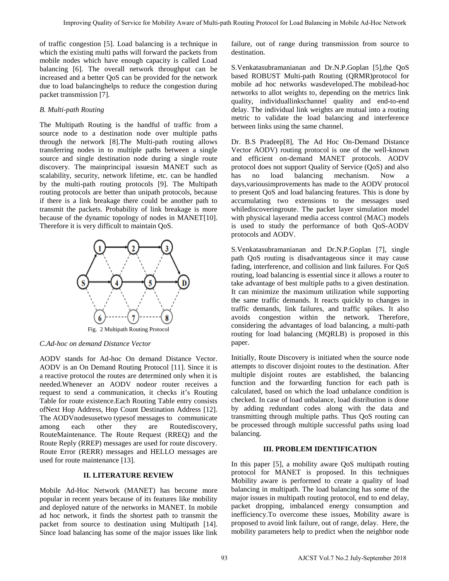of traffic congestion [5]. Load balancing is a technique in which the existing multi paths will forward the packets from mobile nodes which have enough capacity is called Load balancing [6]. The overall network throughput can be increased and a better QoS can be provided for the network due to load balancinghelps to reduce the congestion during packet transmission [7].

# *B. Multi-path Routing*

The Multipath Routing is the handful of traffic from a source node to a destination node over multiple paths through the network [8].The Multi-path routing allows transferring nodes in to multiple paths between a single source and single destination node during a single route discovery. The mainprincipal issuesin MANET such as scalability, security, network lifetime, etc. can be handled by the multi-path routing protocols [9]. The Multipath routing protocols are better than unipath protocols, because if there is a link breakage there could be another path to transmit the packets. Probability of link breakage is more because of the dynamic topology of nodes in MANET[10]. Therefore it is very difficult to maintain QoS.



*C.Ad-hoc on demand Distance Vector* 

AODV stands for Ad-hoc On demand Distance Vector. AODV is an On Demand Routing Protocol [11]. Since it is a reactive protocol the routes are determined only when it is needed.Whenever an AODV nodeor router receives a request to send a communication, it checks it's Routing Table for route existence.Each Routing Table entry consists ofNext Hop Address, Hop Count Destination Address [12]. The AODVnodesusetwo typesof messages to communicate among each other they are Routediscovery, RouteMaintenance. The Route Request (RREQ) and the Route Reply (RREP) messages are used for route discovery. Route Error (RERR) messages and HELLO messages are used for route maintenance [13].

# **II. LITERATURE REVIEW**

Mobile Ad-Hoc Network (MANET) has become more popular in recent years because of its features like mobility and deployed nature of the networks in MANET. In mobile ad hoc network, it finds the shortest path to transmit the packet from source to destination using Multipath [14]. Since load balancing has some of the major issues like link failure, out of range during transmission from source to destination.

S.Venkatasubramanianan and Dr.N.P.Goplan [5],the QoS based ROBUST Multi-path Routing (QRMR)protocol for mobile ad hoc networks wasdeveloped.The mobilead-hoc networks to allot weights to, depending on the metrics link quality, individuallinkschannel quality and end-to-end delay. The individual link weights are mutual into a routing metric to validate the load balancing and interference between links using the same channel.

Dr. B.S Pradeep[8], The Ad Hoc On-Demand Distance Vector AODV) routing protocol is one of the well-known and efficient on-demand MANET protocols. AODV protocol does not support Quality of Service (QoS) and also has no load balancing mechanism. Now a days,variousimprovements has made to the AODV protocol to present QoS and load balancing features. This is done by accumulating two extensions to the messages used whilediscoveringroute. The packet layer simulation model with physical layerand media access control (MAC) models is used to study the performance of both QoS-AODV protocols and AODV. From Control is a state of the balance for the balance for Load Balance for Load Balance for Amale and the Control Balance for Amale and the Control Balance for Amale and the Control Balance for Amale and the Control Bala

S.Venkatasubramanianan and Dr.N.P.Goplan [7], single path QoS routing is disadvantageous since it may cause fading, interference, and collision and link failures. For QoS routing, load balancing is essential since it allows a router to take advantage of best multiple paths to a given destination. It can minimize the maximum utilization while supporting the same traffic demands. It reacts quickly to changes in traffic demands, link failures, and traffic spikes. It also avoids congestion within the network. Therefore, considering the advantages of load balancing, a multi-path routing for load balancing (MQRLB) is proposed in this paper.

Initially, Route Discovery is initiated when the source node attempts to discover disjoint routes to the destination. After multiple disjoint routes are established, the balancing function and the forwarding function for each path is calculated, based on which the load unbalance condition is checked. In case of load unbalance, load distribution is done by adding redundant codes along with the data and transmitting through multiple paths. Thus QoS routing can be processed through multiple successful paths using load balancing.

# **III. PROBLEM IDENTIFICATION**

In this paper [5], a mobility aware QoS multipath routing protocol for MANET is proposed. In this techniques Mobility aware is performed to create a quality of load balancing in multipath. The load balancing has some of the major issues in multipath routing protocol, end to end delay, packet dropping, imbalanced energy consumption and inefficiency.To overcome these issues, Mobility aware is proposed to avoid link failure, out of range, delay. Here, the mobility parameters help to predict when the neighbor node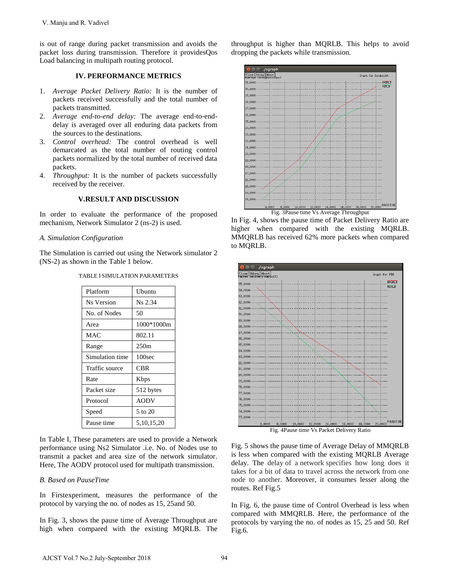# **IV. PERFORMANCE METRICS**

- 1. *Average Packet Delivery Ratio:* It is the number of packets received successfully and the total number of packets transmitted.
- 2. *Average end-to-end delay:* The average end-to-enddelay is averaged over all enduring data packets from the sources to the destinations.
- 3. *Control overhead:* The control overhead is well demarcated as the total number of routing control packets normalized by the total number of received data packets.
- 4. *Throughput:* It is the number of packets successfully received by the receiver.

### **V.RESULT AND DISCUSSION**

### *A. Simulation Configuration*

| V. Manju and R. Vadivel                                                                                                                                                                                                                                                                                                                                                                                                                                                                                                                                                                  |                                                                                                                                                                       |               |  |    |
|------------------------------------------------------------------------------------------------------------------------------------------------------------------------------------------------------------------------------------------------------------------------------------------------------------------------------------------------------------------------------------------------------------------------------------------------------------------------------------------------------------------------------------------------------------------------------------------|-----------------------------------------------------------------------------------------------------------------------------------------------------------------------|---------------|--|----|
|                                                                                                                                                                                                                                                                                                                                                                                                                                                                                                                                                                                          | s out of range during packet transmission and avoids the<br>acket loss during transmission. Therefore it providesQos<br>load balancing in multipath routing protocol. |               |  |    |
| <b>IV. PERFORMANCE METRICS</b>                                                                                                                                                                                                                                                                                                                                                                                                                                                                                                                                                           |                                                                                                                                                                       |               |  |    |
| Average Packet Delivery Ratio: It is the number of<br>$\ddot{\phantom{a}}$<br>packets received successfully and the total number of<br>packets transmitted.<br>ļ.<br>Average end-to-end delay: The average end-to-end-<br>delay is averaged over all enduring data packets from<br>the sources to the destinations.<br>Í.<br>Control overhead: The control overhead is well<br>demarcated as the total number of routing control<br>packets normalized by the total number of received data<br>packets.<br>$\ddot{\cdot}$<br><i>Throughput:</i> It is the number of packets successfully |                                                                                                                                                                       |               |  |    |
| received by the receiver.                                                                                                                                                                                                                                                                                                                                                                                                                                                                                                                                                                |                                                                                                                                                                       |               |  |    |
| <b>V.RESULT AND DISCUSSION</b>                                                                                                                                                                                                                                                                                                                                                                                                                                                                                                                                                           |                                                                                                                                                                       |               |  |    |
| n order to evaluate the performance of the proposed<br>nechanism, Network Simulator 2 (ns-2) is used.                                                                                                                                                                                                                                                                                                                                                                                                                                                                                    |                                                                                                                                                                       |               |  |    |
|                                                                                                                                                                                                                                                                                                                                                                                                                                                                                                                                                                                          | . Simulation Configuration                                                                                                                                            |               |  |    |
| The Simulation is carried out using the Network simulator 2<br>NS-2) as shown in the Table 1 below.                                                                                                                                                                                                                                                                                                                                                                                                                                                                                      |                                                                                                                                                                       |               |  |    |
| TABLE I SIMULATION PARAMETERS                                                                                                                                                                                                                                                                                                                                                                                                                                                                                                                                                            |                                                                                                                                                                       |               |  |    |
|                                                                                                                                                                                                                                                                                                                                                                                                                                                                                                                                                                                          | Platform                                                                                                                                                              | Ubuntu        |  |    |
|                                                                                                                                                                                                                                                                                                                                                                                                                                                                                                                                                                                          | Ns Version                                                                                                                                                            | Ns 2.34       |  |    |
|                                                                                                                                                                                                                                                                                                                                                                                                                                                                                                                                                                                          | No. of Nodes                                                                                                                                                          | 50            |  |    |
|                                                                                                                                                                                                                                                                                                                                                                                                                                                                                                                                                                                          | Area                                                                                                                                                                  | 1000*1000m    |  |    |
|                                                                                                                                                                                                                                                                                                                                                                                                                                                                                                                                                                                          | MAC                                                                                                                                                                   | 802.11        |  |    |
|                                                                                                                                                                                                                                                                                                                                                                                                                                                                                                                                                                                          | Range                                                                                                                                                                 | 250m          |  |    |
|                                                                                                                                                                                                                                                                                                                                                                                                                                                                                                                                                                                          | Simulation time                                                                                                                                                       | 100sec        |  |    |
|                                                                                                                                                                                                                                                                                                                                                                                                                                                                                                                                                                                          | Traffic source                                                                                                                                                        | <b>CBR</b>    |  |    |
|                                                                                                                                                                                                                                                                                                                                                                                                                                                                                                                                                                                          | Rate                                                                                                                                                                  | Kbps          |  |    |
|                                                                                                                                                                                                                                                                                                                                                                                                                                                                                                                                                                                          | Packet size                                                                                                                                                           | 512 bytes     |  |    |
|                                                                                                                                                                                                                                                                                                                                                                                                                                                                                                                                                                                          | Protocol                                                                                                                                                              | <b>AODV</b>   |  |    |
|                                                                                                                                                                                                                                                                                                                                                                                                                                                                                                                                                                                          | Speed                                                                                                                                                                 | 5 to 20       |  |    |
|                                                                                                                                                                                                                                                                                                                                                                                                                                                                                                                                                                                          | Pause time                                                                                                                                                            | 5, 10, 15, 20 |  |    |
| n Table I, These parameters are used to provide a Network<br>erformance using Ns2 Simulator .i.e. No. of Nodes use to<br>ransmit a packet and area size of the network simulator.<br>Here, The AODV protocol used for multipath transmission.                                                                                                                                                                                                                                                                                                                                            |                                                                                                                                                                       |               |  |    |
| <b>B.</b> Based on PauseTime                                                                                                                                                                                                                                                                                                                                                                                                                                                                                                                                                             |                                                                                                                                                                       |               |  |    |
| n Firstexperiment, measures the performance of the<br>protocol by varying the no. of nodes as 15, 25 and 50.                                                                                                                                                                                                                                                                                                                                                                                                                                                                             |                                                                                                                                                                       |               |  |    |
| n Fig. 3, shows the pause time of Average Throughput are<br>righ when compared with the existing MQRLB. The                                                                                                                                                                                                                                                                                                                                                                                                                                                                              |                                                                                                                                                                       |               |  |    |
| AJCST Vol.7 No.2 July-September 2018                                                                                                                                                                                                                                                                                                                                                                                                                                                                                                                                                     |                                                                                                                                                                       |               |  | 94 |

#### TABLE I SIMULATION PARAMETERS

# *B. Based on PauseTime*

throughput is higher than MQRLB. This helps to avoid dropping the packets while transmission.



In Fig. 4, shows the pause time of Packet Delivery Ratio are higher when compared with the existing MQRLB. MMQRLB has received 62% more packets when compared to MQRLB.



Fig. 5 shows the pause time of Average Delay of MMQRLB is less when compared with the existing MQRLB Average delay. The delay of a network specifies how long does it takes for a bit of data to travel across the network from one node to another. Moreover, it consumes lesser along the routes. Ref Fig.5

In Fig. 6, the pause time of Control Overhead is less when compared with MMQRLB. Here, the performance of the protocols by varying the no. of nodes as 15, 25 and 50. Ref Fig.6.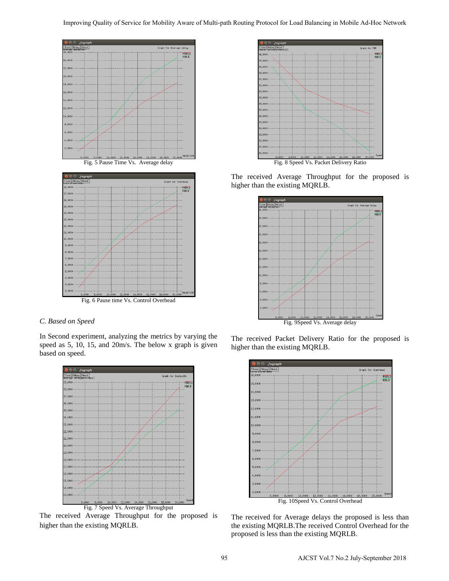



### *C. Based on Speed*

In Second experiment, analyzing the metrics by varying the speed as 5, 10, 15, and 20m/s. The below x graph is given based on speed.



The received Average Throughput for the proposed is higher than the existing MQRLB.



The received Average Throughput for the proposed is higher than the existing MQRLB.



The received Packet Delivery Ratio for the proposed is higher than the existing MQRLB.



The received for Average delays the proposed is less than the existing MQRLB.The received Control Overhead for the proposed is less than the existing MQRLB.